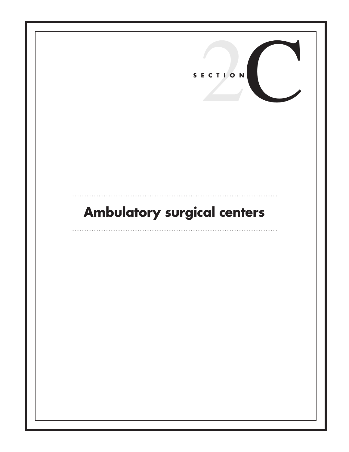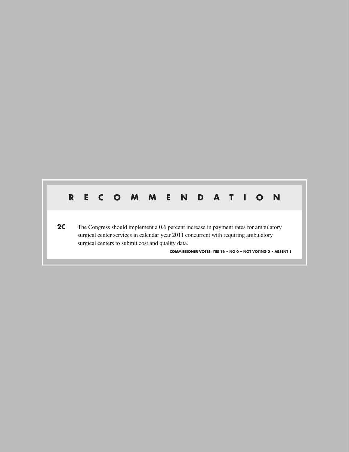# **R E C O M M E N D A T I O N**

**2C** The Congress should implement a 0.6 percent increase in payment rates for ambulatory surgical center services in calendar year 2011 concurrent with requiring ambulatory surgical centers to submit cost and quality data.

**COMMISSIONER VOTES: YES 16 • NO 0 • NOT VOTING 0 • ABSENT 1**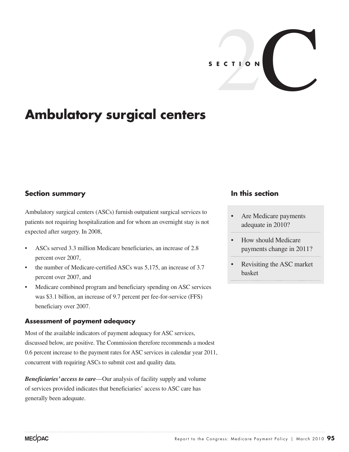

# **Ambulatory surgical centers**

## **Section summary**

Ambulatory surgical centers (ASCs) furnish outpatient surgical services to patients not requiring hospitalization and for whom an overnight stay is not expected after surgery. In 2008,

- ASCs served 3.3 million Medicare beneficiaries, an increase of 2.8 percent over 2007,
- the number of Medicare-certified ASCs was 5,175, an increase of 3.7 percent over 2007, and
- Medicare combined program and beneficiary spending on ASC services was \$3.1 billion, an increase of 9.7 percent per fee-for-service (FFS) beneficiary over 2007.

### **Assessment of payment adequacy**

Most of the available indicators of payment adequacy for ASC services, discussed below, are positive. The Commission therefore recommends a modest 0.6 percent increase to the payment rates for ASC services in calendar year 2011, concurrent with requiring ASCs to submit cost and quality data.

*Beneficiaries' access to care*—Our analysis of facility supply and volume of services provided indicates that beneficiaries' access to ASC care has generally been adequate.

## **In this section**

- Are Medicare payments adequate in 2010?
- How should Medicare payments change in 2011?
- Revisiting the ASC market basket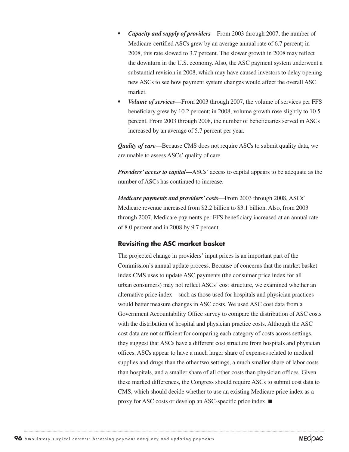- *• Capacity and supply of providers*—From 2003 through 2007, the number of Medicare-certified ASCs grew by an average annual rate of 6.7 percent; in 2008, this rate slowed to 3.7 percent. The slower growth in 2008 may reflect the downturn in the U.S. economy. Also, the ASC payment system underwent a substantial revision in 2008, which may have caused investors to delay opening new ASCs to see how payment system changes would affect the overall ASC market.
- *Volume of services*—From 2003 through 2007, the volume of services per FFS beneficiary grew by 10.2 percent; in 2008, volume growth rose slightly to 10.5 percent. From 2003 through 2008, the number of beneficiaries served in ASCs increased by an average of 5.7 percent per year.

*Quality of care*—Because CMS does not require ASCs to submit quality data, we are unable to assess ASCs' quality of care.

*Providers' access to capital*—ASCs' access to capital appears to be adequate as the number of ASCs has continued to increase.

*Medicare payments and providers' costs*—From 2003 through 2008, ASCs' Medicare revenue increased from \$2.2 billion to \$3.1 billion. Also, from 2003 through 2007, Medicare payments per FFS beneficiary increased at an annual rate of 8.0 percent and in 2008 by 9.7 percent.

### **Revisiting the ASC market basket**

The projected change in providers' input prices is an important part of the Commission's annual update process. Because of concerns that the market basket index CMS uses to update ASC payments (the consumer price index for all urban consumers) may not reflect ASCs' cost structure, we examined whether an alternative price index—such as those used for hospitals and physician practices would better measure changes in ASC costs. We used ASC cost data from a Government Accountability Office survey to compare the distribution of ASC costs with the distribution of hospital and physician practice costs. Although the ASC cost data are not sufficient for comparing each category of costs across settings, they suggest that ASCs have a different cost structure from hospitals and physician offices. ASCs appear to have a much larger share of expenses related to medical supplies and drugs than the other two settings, a much smaller share of labor costs than hospitals, and a smaller share of all other costs than physician offices. Given these marked differences, the Congress should require ASCs to submit cost data to CMS, which should decide whether to use an existing Medicare price index as a proxy for ASC costs or develop an ASC-specific price index. ■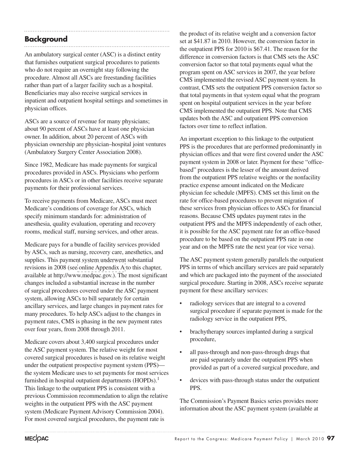# **Background**

An ambulatory surgical center (ASC) is a distinct entity that furnishes outpatient surgical procedures to patients who do not require an overnight stay following the procedure. Almost all ASCs are freestanding facilities rather than part of a larger facility such as a hospital. Beneficiaries may also receive surgical services in inpatient and outpatient hospital settings and sometimes in physician offices.

ASCs are a source of revenue for many physicians; about 90 percent of ASCs have at least one physician owner. In addition, about 20 percent of ASCs with physician ownership are physician–hospital joint ventures (Ambulatory Surgery Center Association 2008).

Since 1982, Medicare has made payments for surgical procedures provided in ASCs. Physicians who perform procedures in ASCs or in other facilities receive separate payments for their professional services.

To receive payments from Medicare, ASCs must meet Medicare's conditions of coverage for ASCs, which specify minimum standards for: administration of anesthesia, quality evaluation, operating and recovery rooms, medical staff, nursing services, and other areas.

Medicare pays for a bundle of facility services provided by ASCs, such as nursing, recovery care, anesthetics, and supplies. This payment system underwent substantial revisions in 2008 (see [online Appendix A](http://medpac.gov/chapters/Mar10_Ch02C_APPENDIX.pdf) to this chapter, available at http://www.medpac.gov.). The most significant changes included a substantial increase in the number of surgical procedures covered under the ASC payment system, allowing ASCs to bill separately for certain ancillary services, and large changes in payment rates for many procedures. To help ASCs adjust to the changes in payment rates, CMS is phasing in the new payment rates over four years, from 2008 through 2011.

Medicare covers about 3,400 surgical procedures under the ASC payment system. The relative weight for most covered surgical procedures is based on its relative weight under the outpatient prospective payment system (PPS) the system Medicare uses to set payments for most services furnished in hospital outpatient departments (HOPDs).<sup>1</sup> This linkage to the outpatient PPS is consistent with a previous Commission recommendation to align the relative weights in the outpatient PPS with the ASC payment system (Medicare Payment Advisory Commission 2004). For most covered surgical procedures, the payment rate is

the product of its relative weight and a conversion factor set at \$41.87 in 2010. However, the conversion factor in the outpatient PPS for 2010 is \$67.41. The reason for the difference in conversion factors is that CMS sets the ASC conversion factor so that total payments equal what the program spent on ASC services in 2007, the year before CMS implemented the revised ASC payment system. In contrast, CMS sets the outpatient PPS conversion factor so that total payments in that system equal what the program spent on hospital outpatient services in the year before CMS implemented the outpatient PPS. Note that CMS updates both the ASC and outpatient PPS conversion factors over time to reflect inflation.

An important exception to this linkage to the outpatient PPS is the procedures that are performed predominantly in physician offices and that were first covered under the ASC payment system in 2008 or later. Payment for these "officebased" procedures is the lesser of the amount derived from the outpatient PPS relative weights or the nonfacility practice expense amount indicated on the Medicare physician fee schedule (MPFS). CMS set this limit on the rate for office-based procedures to prevent migration of these services from physician offices to ASCs for financial reasons. Because CMS updates payment rates in the outpatient PPS and the MPFS independently of each other, it is possible for the ASC payment rate for an office-based procedure to be based on the outpatient PPS rate in one year and on the MPFS rate the next year (or vice versa).

The ASC payment system generally parallels the outpatient PPS in terms of which ancillary services are paid separately and which are packaged into the payment of the associated surgical procedure. Starting in 2008, ASCs receive separate payment for these ancillary services:

- radiology services that are integral to a covered surgical procedure if separate payment is made for the radiology service in the outpatient PPS,
- brachytherapy sources implanted during a surgical procedure,
- all pass-through and non-pass-through drugs that are paid separately under the outpatient PPS when provided as part of a covered surgical procedure, and
- devices with pass-through status under the outpatient PPS.

The Commission's Payment Basics series provides more information about the ASC payment system (available at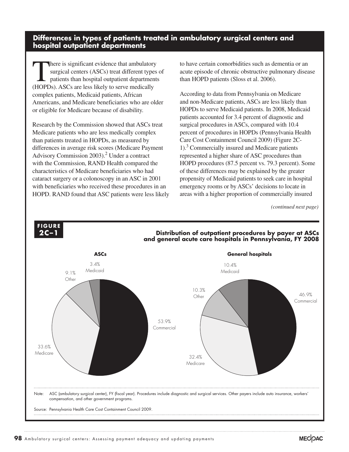### **Differences in types of patients treated in ambulatory surgical centers and hospital outpatient departments**

There is significant evidence that ambulatory surgical centers (ASCs) treat different types of patients than hospital outpatient departments (HOPDs). ASCs are less likely to serve medically complex patients, Medicaid patients, African Americans, and Medicare beneficiaries who are older or eligible for Medicare because of disability.

Research by the Commission showed that ASCs treat Medicare patients who are less medically complex than patients treated in HOPDs, as measured by differences in average risk scores (Medicare Payment Advisory Commission 2003).<sup>2</sup> Under a contract with the Commission, RAND Health compared the characteristics of Medicare beneficiaries who had cataract surgery or a colonoscopy in an ASC in 2001 with beneficiaries who received these procedures in an HOPD. RAND found that ASC patients were less likely to have certain comorbidities such as dementia or an acute episode of chronic obstructive pulmonary disease than HOPD patients (Sloss et al. 2006).

According to data from Pennsylvania on Medicare and non-Medicare patients, ASCs are less likely than HOPDs to serve Medicaid patients. In 2008, Medicaid patients accounted for 3.4 percent of diagnostic and surgical procedures in ASCs, compared with 10.4 percent of procedures in HOPDs (Pennsylvania Health Care Cost Containment Council 2009) (Figure 2C-1).3 Commercially insured and Medicare patients represented a higher share of ASC procedures than HOPD procedures (87.5 percent vs. 79.3 percent). Some of these differences may be explained by the greater propensity of Medicaid patients to seek care in hospital emergency rooms or by ASCs' decisions to locate in areas with a higher proportion of commercially insured

*(continued next page)*

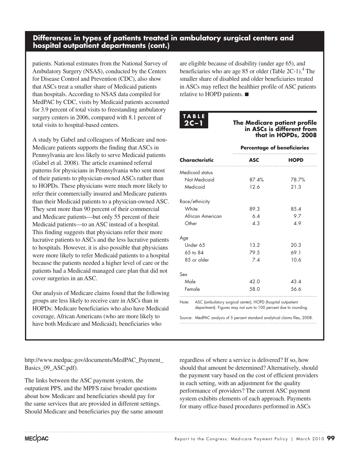### **Differences in types of patients treated in ambulatory surgical centers and hospital outpatient departments (cont.)**

patients. National estimates from the National Survey of Ambulatory Surgery (NSAS), conducted by the Centers for Disease Control and Prevention (CDC), also show that ASCs treat a smaller share of Medicaid patients than hospitals. According to NSAS data compiled for MedPAC by CDC, visits by Medicaid patients accounted for 3.9 percent of total visits to freestanding ambulatory surgery centers in 2006, compared with 8.1 percent of total visits to hospital-based centers.

A study by Gabel and colleagues of Medicare and non-Medicare patients supports the finding that ASCs in Pennsylvania are less likely to serve Medicaid patients (Gabel et al. 2008). The article examined referral patterns for physicians in Pennsylvania who sent most of their patients to physician-owned ASCs rather than to HOPDs. These physicians were much more likely to refer their commercially insured and Medicare patients than their Medicaid patients to a physician-owned ASC. They sent more than 90 percent of their commercial and Medicare patients—but only 55 percent of their Medicaid patients—to an ASC instead of a hospital. This finding suggests that physicians refer their more lucrative patients to ASCs and the less lucrative patients to hospitals. However, it is also possible that physicians were more likely to refer Medicaid patients to a hospital because the patients needed a higher level of care or the patients had a Medicaid managed care plan that did not cover surgeries in an ASC.

Our analysis of Medicare claims found that the following groups are less likely to receive care in ASCs than in HOPDs: Medicare beneficiaries who also have Medicaid coverage, African Americans (who are more likely to have both Medicare and Medicaid), beneficiaries who

http://www.medpac.gov/documents/MedPAC\_Payment\_ Basics 09 ASC.pdf).

The links between the ASC payment system, the outpatient PPS, and the MPFS raise broader questions about how Medicare and beneficiaries should pay for the same services that are provided in different settings. Should Medicare and beneficiaries pay the same amount are eligible because of disability (under age 65), and beneficiaries who are age 85 or older (Table  $2C-1$ ).<sup>4</sup> The smaller share of disabled and older beneficiaries treated in ASCs may reflect the healthier profile of ASC patients relative to HOPD patients. ■

**T A B L E**

**The Medicare patient profile in ASCs is different from that in HOPDs, 2008**

|                      | <b>Percentage of beneficiaries</b>                                                                                              |             |  |  |
|----------------------|---------------------------------------------------------------------------------------------------------------------------------|-------------|--|--|
| Characteristic       | <b>ASC</b>                                                                                                                      | <b>HOPD</b> |  |  |
| Medicaid status      |                                                                                                                                 |             |  |  |
| Not Medicaid         | 87.4%                                                                                                                           | 78.7%       |  |  |
| Medicaid             | 12.6                                                                                                                            | 21.3        |  |  |
| Race/ethnicity       |                                                                                                                                 |             |  |  |
| White                | 89.3                                                                                                                            | 8.5.4       |  |  |
| African American     | 6.4                                                                                                                             | 9.7         |  |  |
| Other                | 4.3                                                                                                                             | 49          |  |  |
| Age                  |                                                                                                                                 |             |  |  |
| Under 65             | 13.2                                                                                                                            | 20.3        |  |  |
| $6.5 \text{ to } 84$ | 79.5                                                                                                                            | 69.1        |  |  |
| 85 or older          | 7.4                                                                                                                             | 10.6        |  |  |
| Sex                  |                                                                                                                                 |             |  |  |
| Male                 | 42.0                                                                                                                            | 43.4        |  |  |
| Female               | 58.0                                                                                                                            | 56.6        |  |  |
| Note:                | ASC (ambulatory surgical center), HOPD (hospital outpatient<br>department). Figures may not sum to 100 percent due to rounding. |             |  |  |

Source: MedPAC analysis of 5 percent standard analytical claims files, 2008.

regardless of where a service is delivered? If so, how should that amount be determined? Alternatively, should the payment vary based on the cost of efficient providers in each setting, with an adjustment for the quality performance of providers? The current ASC payment system exhibits elements of each approach. Payments for many office-based procedures performed in ASCs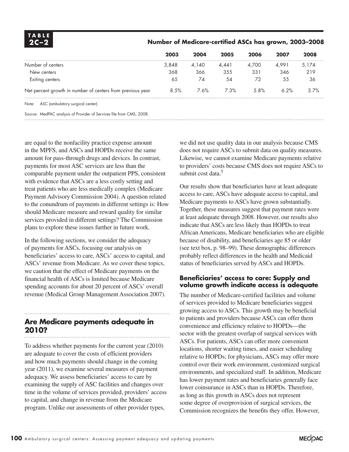| <b>TABLE</b><br>$2C-2$                                     | Number of Medicare-certified ASCs has grown, 2003-2008 |       |       |       |       |       |  |
|------------------------------------------------------------|--------------------------------------------------------|-------|-------|-------|-------|-------|--|
|                                                            | 2003                                                   | 2004  | 2005  | 2006  | 2007  | 2008  |  |
| Number of centers                                          | 3,848                                                  | 4,140 | 4.441 | 4.700 | 4.991 | 5,174 |  |
| New centers                                                | 368                                                    | 366   | 355   | 331   | 346   | 219   |  |
| Exiting centers                                            | 65                                                     | 74    | 54    | 72    | 55    | 36    |  |
| Net percent growth in number of centers from previous year | 8.5%                                                   | 7.6%  | 7.3%  | 5.8%  | 6.2%  | 3.7%  |  |
| Note: ASC (ambulatory surgical center).                    |                                                        |       |       |       |       |       |  |
|                                                            |                                                        |       |       |       |       |       |  |

Source: MedPAC analysis of Provider of Services file from CMS, 2008.

are equal to the nonfacility practice expense amount in the MPFS, and ASCs and HOPDs receive the same amount for pass-through drugs and devices. In contrast, payments for most ASC services are less than the comparable payment under the outpatient PPS, consistent with evidence that ASCs are a less costly setting and treat patients who are less medically complex (Medicare Payment Advisory Commission 2004). A question related to the conundrum of payments in different settings is: How should Medicare measure and reward quality for similar services provided in different settings? The Commission plans to explore these issues further in future work.

In the following sections, we consider the adequacy of payments for ASCs, focusing our analysis on beneficiaries' access to care, ASCs' access to capital, and ASCs' revenue from Medicare. As we cover these topics, we caution that the effect of Medicare payments on the financial health of ASCs is limited because Medicare spending accounts for about 20 percent of ASCs' overall revenue (Medical Group Management Association 2007).

# **Are Medicare payments adequate in 2010?**

To address whether payments for the current year (2010) are adequate to cover the costs of efficient providers and how much payments should change in the coming year (2011), we examine several measures of payment adequacy. We assess beneficiaries' access to care by examining the supply of ASC facilities and changes over time in the volume of services provided, providers' access to capital, and change in revenue from the Medicare program. Unlike our assessments of other provider types,

we did not use quality data in our analysis because CMS does not require ASCs to submit data on quality measures. Likewise, we cannot examine Medicare payments relative to providers' costs because CMS does not require ASCs to submit cost data.<sup>5</sup>

Our results show that beneficiaries have at least adequate access to care, ASCs have adequate access to capital, and Medicare payments to ASCs have grown substantially. Together, these measures suggest that payment rates were at least adequate through 2008. However, our results also indicate that ASCs are less likely than HOPDs to treat African Americans, Medicare beneficiaries who are eligible because of disability, and beneficiaries age 85 or older (see text box, p. 98–99). These demographic differences probably reflect differences in the health and Medicaid status of beneficiaries served by ASCs and HOPDs.

### **Beneficiaries' access to care: Supply and volume growth indicate access is adequate**

The number of Medicare-certified facilities and volume of services provided to Medicare beneficiaries suggest growing access to ASCs. This growth may be beneficial to patients and providers because ASCs can offer them convenience and efficiency relative to HOPDs—the sector with the greatest overlap of surgical services with ASCs. For patients, ASCs can offer more convenient locations, shorter waiting times, and easier scheduling relative to HOPDs; for physicians, ASCs may offer more control over their work environment, customized surgical environments, and specialized staff. In addition, Medicare has lower payment rates and beneficiaries generally face lower coinsurance in ASCs than in HOPDs. Therefore, as long as this growth in ASCs does not represent some degree of overprovision of surgical services, the Commission recognizes the benefits they offer. However,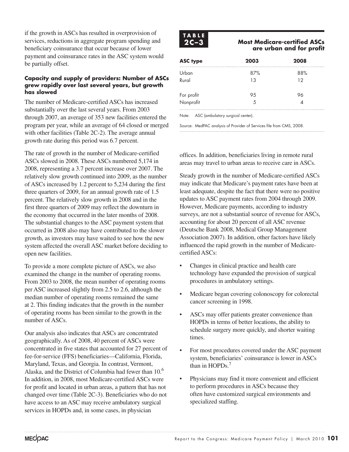if the growth in ASCs has resulted in overprovision of services, reductions in aggregate program spending and beneficiary coinsurance that occur because of lower payment and coinsurance rates in the ASC system would be partially offset.

### **Capacity and supply of providers: Number of ASCs grew rapidly over last several years, but growth has slowed**

The number of Medicare-certified ASCs has increased substantially over the last several years. From 2003 through 2007, an average of 353 new facilities entered the program per year, while an average of 64 closed or merged with other facilities (Table 2C-2). The average annual growth rate during this period was 6.7 percent.

The rate of growth in the number of Medicare-certified ASCs slowed in 2008. These ASCs numbered 5,174 in 2008, representing a 3.7 percent increase over 2007. The relatively slow growth continued into 2009, as the number of ASCs increased by 1.2 percent to 5,234 during the first three quarters of 2009, for an annual growth rate of 1.5 percent. The relatively slow growth in 2008 and in the first three quarters of 2009 may reflect the downturn in the economy that occurred in the later months of 2008. The substantial changes to the ASC payment system that occurred in 2008 also may have contributed to the slower growth, as investors may have waited to see how the new system affected the overall ASC market before deciding to open new facilities.

To provide a more complete picture of ASCs, we also examined the change in the number of operating rooms. From 2003 to 2008, the mean number of operating rooms per ASC increased slightly from 2.5 to 2.6, although the median number of operating rooms remained the same at 2. This finding indicates that the growth in the number of operating rooms has been similar to the growth in the number of ASCs.

Our analysis also indicates that ASCs are concentrated geographically. As of 2008, 40 percent of ASCs were concentrated in five states that accounted for 27 percent of fee-for-service (FFS) beneficiaries—California, Florida, Maryland, Texas, and Georgia. In contrast, Vermont, Alaska, and the District of Columbia had fewer than 10.<sup>6</sup> In addition, in 2008, most Medicare-certified ASCs were for profit and located in urban areas, a pattern that has not changed over time (Table 2C-3). Beneficiaries who do not have access to an ASC may receive ambulatory surgical services in HOPDs and, in some cases, in physician



### **2C-3** Most Medicare-certified ASCs  **are urban and for profit**

| <b>ASC type</b>         | 2003 | 2008 |
|-------------------------|------|------|
| Urban                   | 87%  | 88%  |
| Rural                   | 13   | 12   |
|                         | 95   |      |
| For profit<br>Nonprofit | 5    |      |
|                         |      |      |

Note: ASC (ambulatory surgical center).

Source: MedPAC analysis of Provider of Services file from CMS, 2008.

offices. In addition, beneficiaries living in remote rural areas may travel to urban areas to receive care in ASCs.

Steady growth in the number of Medicare-certified ASCs may indicate that Medicare's payment rates have been at least adequate, despite the fact that there were no positive updates to ASC payment rates from 2004 through 2009. However, Medicare payments, according to industry surveys, are not a substantial source of revenue for ASCs, accounting for about 20 percent of all ASC revenue (Deutsche Bank 2008, Medical Group Management Association 2007). In addition, other factors have likely influenced the rapid growth in the number of Medicarecertified ASCs:

- Changes in clinical practice and health care technology have expanded the provision of surgical procedures in ambulatory settings.
- Medicare began covering colonoscopy for colorectal cancer screening in 1998.
- ASCs may offer patients greater convenience than HOPDs in terms of better locations, the ability to schedule surgery more quickly, and shorter waiting times.
- For most procedures covered under the ASC payment system, beneficiaries' coinsurance is lower in ASCs than in HOPDs.<sup>7</sup>
- Physicians may find it more convenient and efficient to perform procedures in ASCs because they often have customized surgical environments and specialized staffing.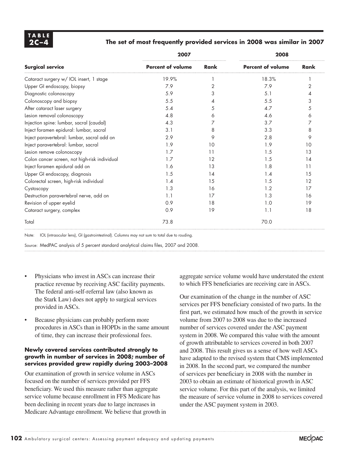### **2C –4 The set of most frequently provided services in 2008 was similar in 2007**

|                                               | 2007                     |             | 2008                     |      |  |
|-----------------------------------------------|--------------------------|-------------|--------------------------|------|--|
| <b>Surgical service</b>                       | <b>Percent of volume</b> | <b>Rank</b> | <b>Percent of volume</b> | Rank |  |
| Cataract surgery w/ IOL insert, 1 stage       | 19.9%                    |             | 18.3%                    |      |  |
| Upper GI endoscopy, biopsy                    | 7.9                      | 2           | 7.9                      | 2    |  |
| Diagnostic colonoscopy                        | 5.9                      | 3           | 5.1                      |      |  |
| Colonoscopy and biopsy                        | 5.5                      | 4           | 5.5                      | 3    |  |
| After cataract laser surgery                  | 5.4                      | 5           | 4.7                      | 5    |  |
| Lesion removal colonoscopy                    | 4.8                      | 6           | 4.6                      | 6    |  |
| Injection spine: lumbar, sacral (caudal)      | 4.3                      |             | 3.7                      |      |  |
| Inject foramen epidural: lumbar, sacral       | 3.1                      | 8           | 3.3                      | 8    |  |
| Inject paravertebral: lumbar, sacral add on   | 2.9                      | 9           | 2.8                      | 9    |  |
| Inject paravertebral: lumbar, sacral          | 1.9                      | 10          | 1.9                      | 10   |  |
| Lesion remove colonoscopy                     | 1.7                      | 11          | 1.5                      | 13   |  |
| Colon cancer screen, not high-risk individual | 1.7                      | 12          | 1.5                      | 14   |  |
| Inject foramen epidural add on                | 1.6                      | 13          | 1.8                      | 11   |  |
| Upper GI endoscopy, diagnosis                 | 1.5                      | 14          | 1.4                      | 15   |  |
| Colorectal screen, high-risk individual       | 1.4                      | 15          | 1.5                      | 12   |  |
| Cystoscopy                                    | 1.3                      | 16          | 1.2                      | 17   |  |
| Destruction paravertebral nerve, add on       | 1.1                      | 17          | 1.3                      | 16   |  |
| Revision of upper eyelid                      | 0.9                      | 18          | 1.0                      | 19   |  |
| Cataract surgery, complex                     | 0.9                      | 19          | 1.1                      | 18   |  |
| Total                                         | 73.8                     |             | 70.0                     |      |  |

Note: IOL (intraocular lens), GI (gastrointestinal). Columns may not sum to total due to rouding.

Source: MedPAC analysis of 5 percent standard analytical claims files, 2007 and 2008.

- Physicians who invest in ASCs can increase their practice revenue by receiving ASC facility payments. The federal anti-self-referral law (also known as the Stark Law) does not apply to surgical services provided in ASCs.
- Because physicians can probably perform more procedures in ASCs than in HOPDs in the same amount of time, they can increase their professional fees.

#### **Newly covered services contributed strongly to growth in number of services in 2008; number of services provided grew rapidly during 2003–2008**

Our examination of growth in service volume in ASCs focused on the number of services provided per FFS beneficiary. We used this measure rather than aggregate service volume because enrollment in FFS Medicare has been declining in recent years due to large increases in Medicare Advantage enrollment. We believe that growth in aggregate service volume would have understated the extent to which FFS beneficiaries are receiving care in ASCs.

Our examination of the change in the number of ASC services per FFS beneficiary consisted of two parts. In the first part, we estimated how much of the growth in service volume from 2007 to 2008 was due to the increased number of services covered under the ASC payment system in 2008. We compared this value with the amount of growth attributable to services covered in both 2007 and 2008. This result gives us a sense of how well ASCs have adapted to the revised system that CMS implemented in 2008. In the second part, we compared the number of services per beneficiary in 2008 with the number in 2003 to obtain an estimate of historical growth in ASC service volume. For this part of the analysis, we limited the measure of service volume in 2008 to services covered under the ASC payment system in 2003.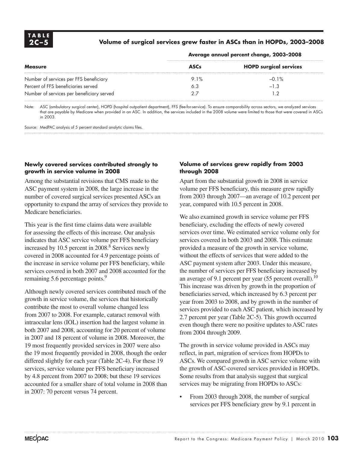### **2C –5 Volume of surgical services grew faster in ASCs than in HOPDs, 2003–2008**

| <b>Measure</b>                            | <b>ASCs</b> | <b>HOPD surgical services</b> |
|-------------------------------------------|-------------|-------------------------------|
| Number of services per FFS beneficiary    | 9.1%        | $-0.1\%$                      |
| Percent of FFS beneficiaries served       | 6.3         | $-1.3$                        |
| Number of services per beneficiary served | クラ          |                               |

#### **Average annual percent change, 2003–2008**

Note: ASC (ambulatory surgical center), HOPD (hospital outpatient department), FFS (fee-for-service). To ensure comparability across sectors, we analyzed services that are payable by Medicare when provided in an ASC. In addition, the services included in the 2008 volume were limited to those that were covered in ASCs in 2003.

Source: MedPAC analysis of 5 percent standard analytic claims files.

### **Newly covered services contributed strongly to growth in service volume in 2008**

Among the substantial revisions that CMS made to the ASC payment system in 2008, the large increase in the number of covered surgical services presented ASCs an opportunity to expand the array of services they provide to Medicare beneficiaries.

This year is the first time claims data were available for assessing the effects of this increase. Our analysis indicates that ASC service volume per FFS beneficiary increased by 10.5 percent in  $2008.\overline{8}$  Services newly covered in 2008 accounted for 4.9 percentage points of the increase in service volume per FFS beneficiary, while services covered in both 2007 and 2008 accounted for the remaining 5.6 percentage points.<sup>9</sup>

Although newly covered services contributed much of the growth in service volume, the services that historically contribute the most to overall volume changed less from 2007 to 2008. For example, cataract removal with intraocular lens (IOL) insertion had the largest volume in both 2007 and 2008, accounting for 20 percent of volume in 2007 and 18 percent of volume in 2008. Moreover, the 19 most frequently provided services in 2007 were also the 19 most frequently provided in 2008, though the order differed slightly for each year (Table 2C-4). For these 19 services, service volume per FFS beneficiary increased by 4.8 percent from 2007 to 2008; but these 19 services accounted for a smaller share of total volume in 2008 than in 2007: 70 percent versus 74 percent.

### **Volume of services grew rapidly from 2003 through 2008**

Apart from the substantial growth in 2008 in service volume per FFS beneficiary, this measure grew rapidly from 2003 through 2007—an average of 10.2 percent per year, compared with 10.5 percent in 2008.

We also examined growth in service volume per FFS beneficiary, excluding the effects of newly covered services over time. We estimated service volume only for services covered in both 2003 and 2008. This estimate provided a measure of the growth in service volume, without the effects of services that were added to the ASC payment system after 2003. Under this measure, the number of services per FFS beneficiary increased by an average of 9.1 percent per year  $(55$  percent overall).<sup>10</sup> This increase was driven by growth in the proportion of beneficiaries served, which increased by 6.3 percent per year from 2003 to 2008, and by growth in the number of services provided to each ASC patient, which increased by 2.7 percent per year (Table 2C-5). This growth occurred even though there were no positive updates to ASC rates from 2004 through 2009.

The growth in service volume provided in ASCs may reflect, in part, migration of services from HOPDs to ASCs. We compared growth in ASC service volume with the growth of ASC-covered services provided in HOPDs. Some results from that analysis suggest that surgical services may be migrating from HOPDs to ASCs:

From 2003 through 2008, the number of surgical services per FFS beneficiary grew by 9.1 percent in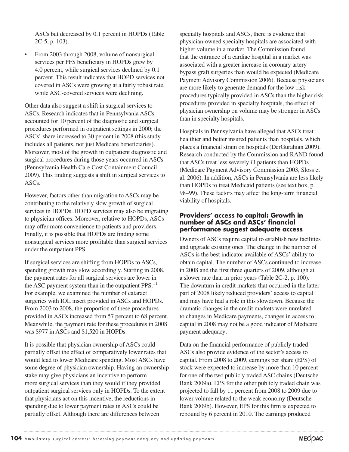ASCs but decreased by 0.1 percent in HOPDs (Table 2C-5, p. 103).

• From 2003 through 2008, volume of nonsurgical services per FFS beneficiary in HOPDs grew by 4.0 percent, while surgical services declined by 0.1 percent. This result indicates that HOPD services not covered in ASCs were growing at a fairly robust rate, while ASC-covered services were declining.

Other data also suggest a shift in surgical services to ASCs. Research indicates that in Pennsylvania ASCs accounted for 10 percent of the diagnostic and surgical procedures performed in outpatient settings in 2000; the ASCs' share increased to 30 percent in 2008 (this study includes all patients, not just Medicare beneficiaries). Moreover, most of the growth in outpatient diagnostic and surgical procedures during those years occurred in ASCs (Pennsylvania Health Care Cost Containment Council 2009). This finding suggests a shift in surgical services to ASCs.

However, factors other than migration to ASCs may be contributing to the relatively slow growth of surgical services in HOPDs. HOPD services may also be migrating to physician offices. Moreover, relative to HOPDs, ASCs may offer more convenience to patients and providers. Finally, it is possible that HOPDs are finding some nonsurgical services more profitable than surgical services under the outpatient PPS.

If surgical services are shifting from HOPDs to ASCs, spending growth may slow accordingly. Starting in 2008, the payment rates for all surgical services are lower in the ASC payment system than in the outpatient  $PPS$ <sup>11</sup> For example, we examined the number of cataract surgeries with IOL insert provided in ASCs and HOPDs. From 2003 to 2008, the proportion of these procedures provided in ASCs increased from 57 percent to 68 percent. Meanwhile, the payment rate for these procedures in 2008 was \$977 in ASCs and \$1,520 in HOPDs.

It is possible that physician ownership of ASCs could partially offset the effect of comparatively lower rates that would lead to lower Medicare spending. Most ASCs have some degree of physician ownership. Having an ownership stake may give physicians an incentive to perform more surgical services than they would if they provided outpatient surgical services only in HOPDs. To the extent that physicians act on this incentive, the reductions in spending due to lower payment rates in ASCs could be partially offset. Although there are differences between

specialty hospitals and ASCs, there is evidence that physician-owned specialty hospitals are associated with higher volume in a market. The Commission found that the entrance of a cardiac hospital in a market was associated with a greater increase in coronary artery bypass graft surgeries than would be expected (Medicare Payment Advisory Commission 2006). Because physicians are more likely to generate demand for the low-risk procedures typically provided in ASCs than the higher risk procedures provided in specialty hospitals, the effect of physician ownership on volume may be stronger in ASCs than in specialty hospitals.

Hospitals in Pennsylvania have alleged that ASCs treat healthier and better insured patients than hospitals, which places a financial strain on hospitals (DerGurahian 2009). Research conducted by the Commission and RAND found that ASCs treat less severely ill patients than HOPDs (Medicare Payment Advisory Commission 2003, Sloss et al. 2006). In addition, ASCs in Pennsylvania are less likely than HOPDs to treat Medicaid patients (see text box, p. 98–99). These factors may affect the long-term financial viability of hospitals.

### **Providers' access to capital: Growth in number of ASCs and ASCs' financial performance suggest adequate access**

Owners of ASCs require capital to establish new facilities and upgrade existing ones. The change in the number of ASCs is the best indicator available of ASCs' ability to obtain capital. The number of ASCs continued to increase in 2008 and the first three quarters of 2009, although at a slower rate than in prior years (Table 2C-2, p. 100). The downturn in credit markets that occurred in the latter part of 2008 likely reduced providers' access to capital and may have had a role in this slowdown. Because the dramatic changes in the credit markets were unrelated to changes in Medicare payments, changes in access to capital in 2008 may not be a good indicator of Medicare payment adequacy**.** 

Data on the financial performance of publicly traded ASCs also provide evidence of the sector's access to capital. From 2008 to 2009, earnings per share (EPS) of stock were expected to increase by more than 10 percent for one of the two publicly traded ASC chains (Deutsche Bank 2009a). EPS for the other publicly traded chain was projected to fall by 11 percent from 2008 to 2009 due to lower volume related to the weak economy (Deutsche Bank 2009b). However, EPS for this firm is expected to rebound by 6 percent in 2010. The earnings produced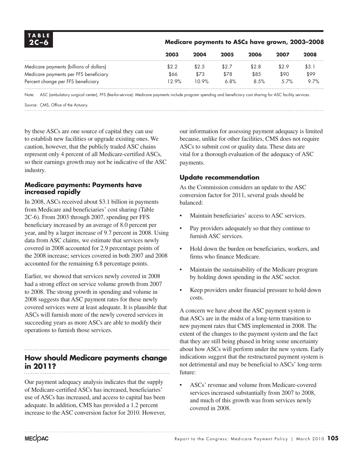| <b>TABLE</b><br>$2C-6$                  | Medicare payments to ASCs have grown, 2003-2008 |       |       |       |         |       |
|-----------------------------------------|-------------------------------------------------|-------|-------|-------|---------|-------|
|                                         | 2003                                            | 2004  | 2005  | 2006  | 2007    | 2008  |
| Medicare payments (billions of dollars) | \$2.2                                           | \$2.5 | \$2.7 | \$2.8 | \$2.9   | \$3.1 |
| Medicare payments per FFS beneficiary   | \$66                                            | \$73  | \$78  | \$85  | \$90    | \$99  |
| Percent change per FFS beneficiary      | 12.9%                                           | 10.9% | 6.8%  | 8.5%  | $.57\%$ | 9.7%  |

Note: ASC (ambulatory surgical center), FFS (fee-for-service). Medicare payments include program spending and beneficiary cost sharing for ASC facility services.

Source: CMS, Office of the Actuary.

by these ASCs are one source of capital they can use to establish new facilities or upgrade existing ones. We caution, however, that the publicly traded ASC chains represent only 4 percent of all Medicare-certified ASCs, so their earnings growth may not be indicative of the ASC industry.

### **Medicare payments: Payments have increased rapidly**

In 2008, ASCs received about \$3.1 billion in payments from Medicare and beneficiaries' cost sharing (Table 2C-6). From 2003 through 2007, spending per FFS beneficiary increased by an average of 8.0 percent per year, and by a larger increase of 9.7 percent in 2008. Using data from ASC claims, we estimate that services newly covered in 2008 accounted for 2.9 percentage points of the 2008 increase; services covered in both 2007 and 2008 accounted for the remaining 6.8 percentage points.

Earlier, we showed that services newly covered in 2008 had a strong effect on service volume growth from 2007 to 2008. The strong growth in spending and volume in 2008 suggests that ASC payment rates for these newly covered services were at least adequate. It is plausible that ASCs will furnish more of the newly covered services in succeeding years as more ASCs are able to modify their operations to furnish those services.

# **How should Medicare payments change in 2011?**

Our payment adequacy analysis indicates that the supply of Medicare-certified ASCs has increased, beneficiaries' use of ASCs has increased, and access to capital has been adequate. In addition, CMS has provided a 1.2 percent increase to the ASC conversion factor for 2010. However, our information for assessing payment adequacy is limited because, unlike for other facilities, CMS does not require ASCs to submit cost or quality data. These data are vital for a thorough evaluation of the adequacy of ASC payments.

### **Update recommendation**

As the Commission considers an update to the ASC conversion factor for 2011, several goals should be balanced:

- Maintain beneficiaries' access to ASC services.
- Pay providers adequately so that they continue to furnish ASC services.
- Hold down the burden on beneficiaries, workers, and firms who finance Medicare.
- Maintain the sustainability of the Medicare program by holding down spending in the ASC sector.
- Keep providers under financial pressure to hold down costs.

A concern we have about the ASC payment system is that ASCs are in the midst of a long-term transition to new payment rates that CMS implemented in 2008. The extent of the changes to the payment system and the fact that they are still being phased in bring some uncertainty about how ASCs will perform under the new system. Early indications suggest that the restructured payment system is not detrimental and may be beneficial to ASCs' long-term future:

• ASCs' revenue and volume from Medicare-covered services increased substantially from 2007 to 2008, and much of this growth was from services newly covered in 2008.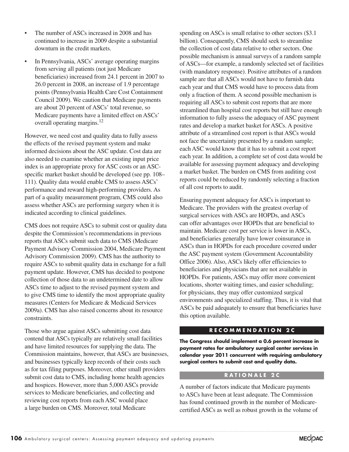- The number of ASCs increased in 2008 and has continued to increase in 2009 despite a substantial downturn in the credit markets.
- In Pennsylvania, ASCs' average operating margins from serving all patients (not just Medicare beneficiaries) increased from 24.1 percent in 2007 to 26.0 percent in 2008, an increase of 1.9 percentage points (Pennsylvania Health Care Cost Containment Council 2009). We caution that Medicare payments are about 20 percent of ASCs' total revenue, so Medicare payments have a limited effect on ASCs' overall operating margins.<sup>12</sup>

However, we need cost and quality data to fully assess the effects of the revised payment system and make informed decisions about the ASC update. Cost data are also needed to examine whether an existing input price index is an appropriate proxy for ASC costs or an ASCspecific market basket should be developed (see pp. 108– 111). Quality data would enable CMS to assess ASCs' performance and reward high-performing providers. As part of a quality measurement program, CMS could also assess whether ASCs are performing surgery when it is indicated according to clinical guidelines.

CMS does not require ASCs to submit cost or quality data despite the Commission's recommendations in previous reports that ASCs submit such data to CMS (Medicare Payment Advisory Commission 2004, Medicare Payment Advisory Commission 2009). CMS has the authority to require ASCs to submit quality data in exchange for a full payment update. However, CMS has decided to postpone collection of those data to an undetermined date to allow ASCs time to adjust to the revised payment system and to give CMS time to identify the most appropriate quality measures (Centers for Medicare & Medicaid Services 2009a). CMS has also raised concerns about its resource constraints.

Those who argue against ASCs submitting cost data contend that ASCs typically are relatively small facilities and have limited resources for supplying the data. The Commission maintains, however, that ASCs are businesses, and businesses typically keep records of their costs such as for tax filing purposes. Moreover, other small providers submit cost data to CMS, including home health agencies and hospices. However, more than 5,000 ASCs provide services to Medicare beneficiaries, and collecting and reviewing cost reports from each ASC would place a large burden on CMS. Moreover, total Medicare

spending on ASCs is small relative to other sectors (\$3.1) billion). Consequently, CMS should seek to streamline the collection of cost data relative to other sectors. One possible mechanism is annual surveys of a random sample of ASCs—for example, a randomly selected set of facilities (with mandatory response). Positive attributes of a random sample are that all ASCs would not have to furnish data each year and that CMS would have to process data from only a fraction of them. A second possible mechanism is requiring all ASCs to submit cost reports that are more streamlined than hospital cost reports but still have enough information to fully assess the adequacy of ASC payment rates and develop a market basket for ASCs. A positive attribute of a streamlined cost report is that ASCs would not face the uncertainty presented by a random sample; each ASC would know that it has to submit a cost report each year. In addition, a complete set of cost data would be available for assessing payment adequacy and developing a market basket. The burden on CMS from auditing cost reports could be reduced by randomly selecting a fraction of all cost reports to audit.

Ensuring payment adequacy for ASCs is important to Medicare. The providers with the greatest overlap of surgical services with ASCs are HOPDs, and ASCs can offer advantages over HOPDs that are beneficial to maintain. Medicare cost per service is lower in ASCs, and beneficiaries generally have lower coinsurance in ASCs than in HOPDs for each procedure covered under the ASC payment system (Government Accountability Office 2006). Also, ASCs likely offer efficiencies to beneficiaries and physicians that are not available in HOPDs. For patients, ASCs may offer more convenient locations, shorter waiting times, and easier scheduling; for physicians, they may offer customized surgical environments and specialized staffing. Thus, it is vital that ASCs be paid adequately to ensure that beneficiaries have this option available.

#### **R E C O M M E N D A T I O N 2 C**

**The Congress should implement a 0.6 percent increase in payment rates for ambulatory surgical center services in calendar year 2011 concurrent with requiring ambulatory surgical centers to submit cost and quality data.**

### **R A T I O N A L E 2 C**

A number of factors indicate that Medicare payments to ASCs have been at least adequate. The Commission has found continued growth in the number of Medicarecertified ASCs as well as robust growth in the volume of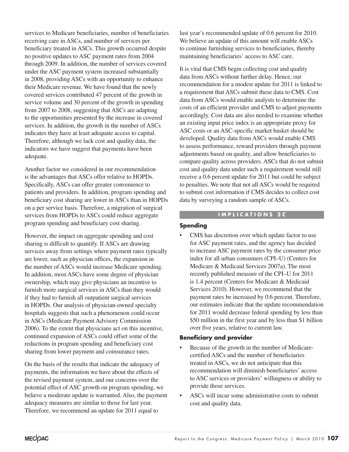services to Medicare beneficiaries, number of beneficiaries receiving care in ASCs, and number of services per beneficiary treated in ASCs. This growth occurred despite no positive updates to ASC payment rates from 2004 through 2009. In addition, the number of services covered under the ASC payment system increased substantially in 2008, providing ASCs with an opportunity to enhance their Medicare revenue. We have found that the newly covered services contributed 47 percent of the growth in service volume and 30 percent of the growth in spending from 2007 to 2008, suggesting that ASCs are adapting to the opportunities presented by the increase in covered services. In addition, the growth in the number of ASCs indicates they have at least adequate access to capital. Therefore, although we lack cost and quality data, the indicators we have suggest that payments have been adequate.

Another factor we considered in our recommendation is the advantages that ASCs offer relative to HOPDs. Specifically, ASCs can offer greater convenience to patients and providers. In addition, program spending and beneficiary cost sharing are lower in ASCs than in HOPDs on a per service basis. Therefore, a migration of surgical services from HOPDs to ASCs could reduce aggregate program spending and beneficiary cost sharing.

However, the impact on aggregate spending and cost sharing is difficult to quantify. If ASCs are drawing services away from settings where payment rates typically are lower, such as physician offices, the expansion in the number of ASCs would increase Medicare spending. In addition, most ASCs have some degree of physician ownership, which may give physicians an incentive to furnish more surgical services in ASCs than they would if they had to furnish all outpatient surgical services in HOPDs. Our analysis of physician-owned specialty hospitals suggests that such a phenomenon could occur in ASCs (Medicare Payment Advisory Commission 2006). To the extent that physicians act on this incentive, continued expansion of ASCs could offset some of the reductions in program spending and beneficiary cost sharing from lower payment and coinsurance rates.

On the basis of the results that indicate the adequacy of payments, the information we have about the effects of the revised payment system, and our concerns over the potential effect of ASC growth on program spending, we believe a moderate update is warranted. Also, the payment adequacy measures are similar to those for last year. Therefore, we recommend an update for 2011 equal to

last year's recommended update of 0.6 percent for 2010. We believe an update of this amount will enable ASCs to continue furnishing services to beneficiaries, thereby maintaining beneficiaries' access to ASC care.

It is vital that CMS begin collecting cost and quality data from ASCs without further delay. Hence, our recommendation for a modest update for 2011 is linked to a requirement that ASCs submit these data to CMS. Cost data from ASCs would enable analysts to determine the costs of an efficient provider and CMS to adjust payments accordingly. Cost data are also needed to examine whether an existing input price index is an appropriate proxy for ASC costs or an ASC-specific market basket should be developed. Quality data from ASCs would enable CMS to assess performance, reward providers through payment adjustments based on quality, and allow beneficiaries to compare quality across providers. ASCs that do not submit cost and quality data under such a requirement would still receive a 0.6 percent update for 2011 but could be subject to penalties. We note that not all ASCs would be required to submit cost information if CMS decides to collect cost data by surveying a random sample of ASCs.

### **I M P L I C A T I O N S 2 C**

### **Spending**

CMS has discretion over which update factor to use for ASC payment rates, and the agency has decided to increase ASC payment rates by the consumer price index for all urban consumers (CPI–U) (Centers for Medicare & Medicaid Services 2007a). The most recently published measure of the CPI–U for 2011 is 1.4 percent (Centers for Medicare & Medicaid Services 2010). However, we recommend that the payment rates be increased by 0.6 percent. Therefore, our estimates indicate that the update recommendation for 2011 would decrease federal spending by less than \$50 million in the first year and by less than \$1 billion over five years, relative to current law.

### **Beneficiary and provider**

- Because of the growth in the number of Medicarecertified ASCs and the number of beneficiaries treated in ASCs, we do not anticipate that this recommendation will diminish beneficiaries' access to ASC services or providers' willingness or ability to provide those services.
- ASCs will incur some administrative costs to submit cost and quality data.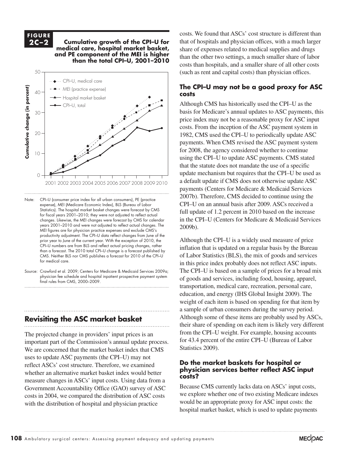#### **F I G U R E 2C-2**

**2C-2 Cumulative growth of the CPI-U for medical care, hospital market basket, and PE component of the MEI is higher than the total CPI–U, 2001–2010** 



- Note: CPI–U (consumer price index for all urban consumers), PE (practice expense), MEI (Medicare Economic Index), BLS (Bureau of Labor Statistics). The hospital market basket changes were forecast by CMS for fiscal years 2001–2010; they were not adjusted to reflect actual changes. Likewise, the MEI changes were forecast by CMS for calendar years 2001–2010 and were not adjusted to reflect actual changes. The MEI figures are for physician practice expenses and exclude CMS's productivity adjustment. The CPI–U data reflect changes from June of the prior year to June of the current year. With the exception of 2010, the CPI-U numbers are from BLS and reflect actual pricing changes, rather than a forecast. The 2010 total CPI–U change is a forecast published by CMS. Neither BLS nor CMS publishes a forecast for 2010 of the CPI–U for medical care.
- Source: Crawford et al. 2009; Centers for Medicare & Medicaid Services 2009a; physician fee schedule and hospital inpatient prospective payment system final rules from CMS, 2000–2009. **Notes about the construction of the construction of the construction of the construction**

# **Revisiting the ASC market basket**

The projected change in providers' input prices is an  $\tilde{C}$ important part of the Commission's annual update process. We are concerned that the market basket index that CMS Statistics uses to update ASC payments (the CPI–U) may not reflect ASCs' cost structure. Therefore, we examined whether an alternative market basket index would better measure changes in ASCs' input costs. Using data from a Government Accountability Office (GAO) survey of ASC costs in 2004, we compared the distribution of ASC costs with the distribution of hospital and physician practice

costs. We found that ASCs' cost structure is different than that of hospitals and physician offices, with a much larger share of expenses related to medical supplies and drugs than the other two settings, a much smaller share of labor costs than hospitals, and a smaller share of all other costs (such as rent and capital costs) than physician offices. MEI (practice expense

### **The CPI–U may not be a good proxy for ASC costs**

Although CMS has historically used the CPI–U as the basis for Medicare's annual updates to ASC payments, this price index may not be a reasonable proxy for ASC input  $\frac{1}{\cosh 2}$  costs. From the inception of the ASC payment system in 1982, CMS used the CPI–U to periodically update ASC payments. When CMS revised the ASC payment system for 2008, the agency considered whether to continue using the CPI–U to update ASC payments. CMS stated that the statute does not mandate the use of a specific update mechanism but requires that the CPI–U be used as a default update if CMS does not otherwise update ASC payments (Centers for Medicare & Medicaid Services 2007b). Therefore, CMS decided to continue using the CPI–U on an annual basis after 2009. ASCs received a full update of 1.2 percent in 2010 based on the increase in the CPI–U (Centers for Medicare & Medicaid Services 2009b).

Although the CPI–U is a widely used measure of price inflation that is updated on a regular basis by the Bureau of Labor Statistics (BLS), the mix of goods and services in this price index probably does not reflect ASC inputs. The CPI–U is based on a sample of prices for a broad mix of goods and services, including food, housing, apparel, transportation, medical care, recreation, personal care, education, and energy (IHS Global Insight 2009). The exists the data is in the data is in the data is in the data is in the data is in the data is in the data is in the data is in the data is in the data is in the data is weight of each item is based on spending for that item by a sample of urban consumers during the survey period. • I had to force return the items on the x-axis. They will reflow if I update the data. **q the ASC market basket** Although some of these items are probably used by ASCs, their share of spending on each item is likely very different ed change in providers' input prices is an from the CPI–U weight. For example, housing accounts for 43.4 percent of the entire CPI–U (Bureau of Labor Statistics 2009).

### **Do the market baskets for hospital or physician services better reflect ASC input costs?**

Because CMS currently lacks data on ASCs' input costs, we explore whether one of two existing Medicare indexes would be an appropriate proxy for ASC input costs: the hospital market basket, which is used to update payments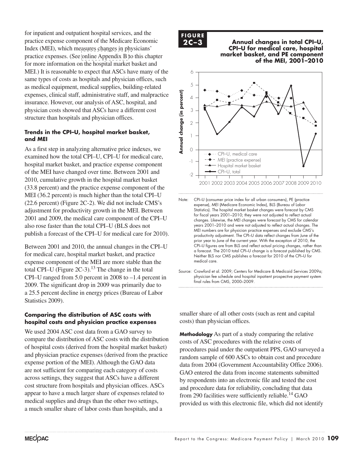for inpatient and outpatient hospital services, and the practice expense component of the Medicare Economic Index (MEI), which measures changes in physicians' practice expenses. (See [online Appendix B t](http://medpac.gov/chapters/Mar10_Ch02C_APPENDIX.pdf)o this chapter for more information on the hospital market basket and MEI.) It is reasonable to expect that ASCs have many of the same types of costs as hospitals and physician offices, such as medical equipment, medical supplies, building-related expenses, clinical staff, administrative staff, and malpractice insurance. However, our analysis of ASC, hospital, and physician costs showed that ASCs have a different cost structure than hospitals and physician offices.

### **Trends in the CPI–U, hospital market basket, and MEI**

As a first step in analyzing alternative price indexes, we examined how the total CPI–U, CPI–U for medical care, hospital market basket, and practice expense component of the MEI have changed over time. Between 2001 and 2010, cumulative growth in the hospital market basket (33.8 percent) and the practice expense component of the MEI (36.2 percent) is much higher than the total CPI–U (22.6 percent) (Figure 2C-2). We did not include CMS's adjustment for productivity growth in the MEI. Between 2001 and 2009, the medical care component of the CPI–U also rose faster than the total CPI–U (BLS does not publish a forecast of the CPI–U for medical care for 2010).

Between 2001 and 2010, the annual changes in the CPI–U for medical care, hospital market basket, and practice expense component of the MEI are more stable than the total CPI–U (Figure  $2C-3$ ).<sup>13</sup> The change in the total CPI–U ranged from 5.0 percent in 2008 to –1.4 percent in 2009. The significant drop in 2009 was primarily due to a 25.5 percent decline in energy prices (Bureau of Labor Statistics 2009).

### **Comparing the distribution of ASC costs with hospital costs and physician practice expenses**

We used 2004 ASC cost data from a GAO survey to compare the distribution of ASC costs with the distribution of hospital costs (derived from the hospital market basket) and physician practice expenses (derived from the practice expense portion of the MEI). Although the GAO data are not sufficient for comparing each category of costs across settings, they suggest that ASCs have a different cost structure from hospitals and physician offices. ASCs appear to have a much larger share of expenses related to medical supplies and drugs than the other two settings, a much smaller share of labor costs than hospitals, and a

**F I G U R E 2C-3**

**2C-3 Annual changes in total CPI-U, CPI–U for medical care, hospital market basket, and PE component of the MEI, 2001–2010** 



Note: CPI–U (consumer price index for all urban consumers), PE (practice expense), MEI (Medicare Economic Index), BLS (Bureau of Labor Statistics). The hospital market basket changes were forecast by CMS for fiscal years 2001–2010; they were not adjusted to reflect actual changes. Likewise, the MEI changes were forecast by CMS for calendar years 2001–2010 and were not adjusted to reflect actual changes. The MEI numbers are for physician practice expenses and exclude CMS's productivity adjustment. The CPI–U data reflect changes from June of the prior year to June of the current year. With the exception of 2010, the CPI-U figures are from BLS and reflect actual pricing changes, rather than a forecast. The 2010 total CPI–U change is a forecast published by CMS. Neither BLS nor CMS publishes a forecast for 2010 of the CPI–U for medical care.

Source: Crawford et al. 2009; Centers for Medicare & Medicaid Services 2009a; physician fee schedule and hospital inpatient prospective payment system final rules from CMS, 2000–2009. **Notes about this graph:**

smaller share of all other costs (such as rent and capital costs) than physician offices.  $\mathbf{r} = \mathbf{r} \cdot \mathbf{r}$  is the items on the items on the data. They will reflow if  $\mathbf{r} = \mathbf{r} \cdot \mathbf{r}$  $\frac{1}{2}$  is that the vertex times the changed and axis lines because they kept resetting when I changed any data.

**Methodology** As part of a study comparing the relative costs of ASC procedures with the relative costs of procedures paid under the outpatient PPS, GAO surveyed a random sample of 600 ASCs to obtain cost and procedure data from 2004 (Government Accountability Office 2006). GAO entered the data from income statements submitted by respondents into an electronic file and tested the cost and procedure data for reliability, concluding that data from 290 facilities were sufficiently reliable.<sup>14</sup> GAO provided us with this electronic file, which did not identify  $\mathbb{P}^1$  use direct items for modification. Otherwise if you use the black selection tool, they will reset to graph  $\mathbb{P}^1$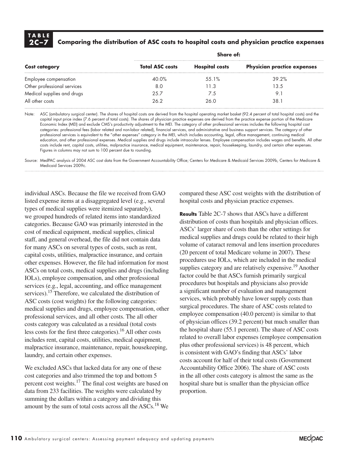# **T A B L E**

# **2C –7 Comparing the distribution of ASC costs to hospital costs and physician practice expenses**

| <b>Cost category</b>        | Share of:              |                       |                                    |  |  |
|-----------------------------|------------------------|-----------------------|------------------------------------|--|--|
|                             | <b>Total ASC costs</b> | <b>Hospital costs</b> | <b>Physician practice expenses</b> |  |  |
| Employee compensation       | 40.0%                  | 55.1%                 | 39.2%                              |  |  |
| Other professional services | 8.0                    | 11.3                  | 13.5                               |  |  |
| Medical supplies and drugs  | 25.7                   | 7.5                   | 9.1                                |  |  |
| All other costs             | 26.2                   | 26.0                  | 38.1                               |  |  |

Note: ASC (ambulatory surgical center). The shares of hospital costs are derived from the hospital operating market basket (92.4 percent of total hospital costs) and the capital input price index (7.6 percent of total costs). The shares of physician practice expenses are derived from the practice expense portion of the Medicare Economic Index (MEI) and exclude CMS's productivity adjustment to the MEI. The category of other professional services includes the following hospital cost categories: professional fees (labor related and non-labor related), financial services, and administrative and business support services. The category of other professional services is equivalent to the "other expenses" category in the MEI, which includes accounting, legal, office management, continuing medical education, and other professional expenses. Medical supplies and drugs include intraocular lenses. Employee compensation includes wages and benefits. All other costs include rent, capital costs, utilities, malpractice insurance, medical equipment, maintenance, repair, housekeeping, laundry, and certain other expenses. Figures in columns may not sum to 100 percent due to rounding.

Source: MedPAC analysis of 2004 ASC cost data from the Government Accountability Office; Centers for Medicare & Medicaid Services 2009b, Centers for Medicare & Medicaid Services 2009c.

individual ASCs. Because the file we received from GAO listed expense items at a disaggregated level (e.g., several types of medical supplies were itemized separately), we grouped hundreds of related items into standardized categories. Because GAO was primarily interested in the cost of medical equipment, medical supplies, clinical staff, and general overhead, the file did not contain data for many ASCs on several types of costs, such as rent, capital costs, utilities, malpractice insurance, and certain other expenses. However, the file had information for most ASCs on total costs, medical supplies and drugs (including IOLs), employee compensation, and other professional services (e.g., legal, accounting, and office management services).<sup>15</sup> Therefore, we calculated the distribution of ASC costs (cost weights) for the following categories: medical supplies and drugs, employee compensation, other professional services, and all other costs. The all other costs category was calculated as a residual (total costs less costs for the first three categories).<sup>16</sup> All other costs includes rent, capital costs, utilities, medical equipment, malpractice insurance, maintenance, repair, housekeeping, laundry, and certain other expenses.

We excluded ASCs that lacked data for any one of these cost categories and also trimmed the top and bottom 5 percent cost weights.<sup>17</sup> The final cost weights are based on data from 233 facilities. The weights were calculated by summing the dollars within a category and dividing this amount by the sum of total costs across all the ASCs.<sup>18</sup> We compared these ASC cost weights with the distribution of hospital costs and physician practice expenses.

**Results** Table 2C-7 shows that ASCs have a different distribution of costs than hospitals and physician offices. ASCs' larger share of costs than the other settings for medical supplies and drugs could be related to their high volume of cataract removal and lens insertion procedures (20 percent of total Medicare volume in 2007). These procedures use IOLs, which are included in the medical supplies category and are relatively expensive.<sup>19</sup> Another factor could be that ASCs furnish primarily surgical procedures but hospitals and physicians also provide a significant number of evaluation and management services, which probably have lower supply costs than surgical procedures. The share of ASC costs related to employee compensation (40.0 percent) is similar to that of physician offices (39.2 percent) but much smaller than the hospital share (55.1 percent). The share of ASC costs related to overall labor expenses (employee compensation plus other professional services) is 48 percent, which is consistent with GAO's finding that ASCs' labor costs account for half of their total costs (Government Accountability Office 2006). The share of ASC costs in the all other costs category is almost the same as the hospital share but is smaller than the physician office proportion.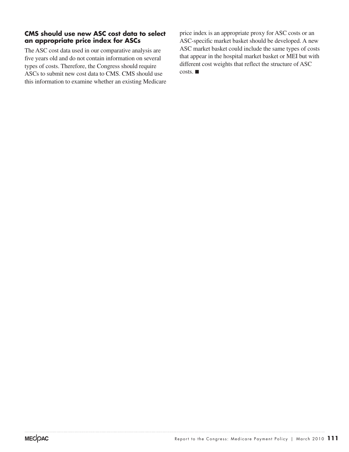### **CMS should use new ASC cost data to select an appropriate price index for ASCs**

The ASC cost data used in our comparative analysis are five years old and do not contain information on several types of costs. Therefore, the Congress should require ASCs to submit new cost data to CMS. CMS should use this information to examine whether an existing Medicare price index is an appropriate proxy for ASC costs or an ASC-specific market basket should be developed. A new ASC market basket could include the same types of costs that appear in the hospital market basket or MEI but with different cost weights that reflect the structure of ASC costs. ■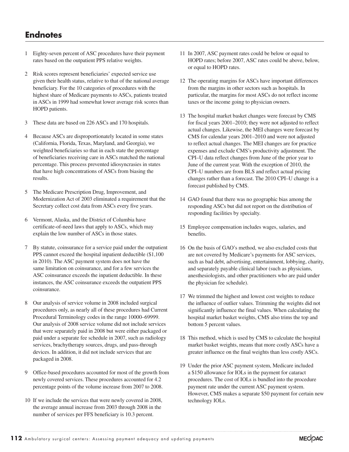# **Endnotes**

- 1 Eighty-seven percent of ASC procedures have their payment rates based on the outpatient PPS relative weights.
- 2 Risk scores represent beneficiaries' expected service use given their health status, relative to that of the national average beneficiary. For the 10 categories of procedures with the highest share of Medicare payments to ASCs, patients treated in ASCs in 1999 had somewhat lower average risk scores than HOPD patients.
- 3 These data are based on 226 ASCs and 170 hospitals.
- 4 Because ASCs are disproportionately located in some states (California, Florida, Texas, Maryland, and Georgia), we weighted beneficiaries so that in each state the percentage of beneficiaries receiving care in ASCs matched the national percentage. This process prevented idiosyncrasies in states that have high concentrations of ASCs from biasing the results.
- 5 The Medicare Prescription Drug, Improvement, and Modernization Act of 2003 eliminated a requirement that the Secretary collect cost data from ASCs every five years.
- 6 Vermont, Alaska, and the District of Columbia have certificate-of-need laws that apply to ASCs, which may explain the low number of ASCs in those states.
- 7 By statute, coinsurance for a service paid under the outpatient PPS cannot exceed the hospital inpatient deductible (\$1,100 in 2010). The ASC payment system does not have the same limitation on coinsurance, and for a few services the ASC coinsurance exceeds the inpatient deductible. In these instances, the ASC coinsurance exceeds the outpatient PPS coinsurance.
- 8 Our analysis of service volume in 2008 included surgical procedures only, as nearly all of these procedures had Current Procedural Terminology codes in the range 10000–69999. Our analysis of 2008 service volume did not include services that were separately paid in 2008 but were either packaged or paid under a separate fee schedule in 2007, such as radiology services, brachytherapy sources, drugs, and pass-through devices. In addition, it did not include services that are packaged in 2008.
- 9 Office-based procedures accounted for most of the growth from newly covered services. These procedures accounted for 4.2 percentage points of the volume increase from 2007 to 2008.
- 10 If we include the services that were newly covered in 2008, the average annual increase from 2003 through 2008 in the number of services per FFS beneficiary is 10.3 percent.
- 11 In 2007, ASC payment rates could be below or equal to HOPD rates; before 2007, ASC rates could be above, below, or equal to HOPD rates.
- 12 The operating margins for ASCs have important differences from the margins in other sectors such as hospitals. In particular, the margins for most ASCs do not reflect income taxes or the income going to physician owners.
- 13 The hospital market basket changes were forecast by CMS for fiscal years 2001–2010; they were not adjusted to reflect actual changes. Likewise, the MEI changes were forecast by CMS for calendar years 2001–2010 and were not adjusted to reflect actual changes. The MEI changes are for practice expenses and exclude CMS's productivity adjustment. The CPI–U data reflect changes from June of the prior year to June of the current year. With the exception of 2010, the CPI–U numbers are from BLS and reflect actual pricing changes rather than a forecast. The 2010 CPI–U change is a forecast published by CMS.
- 14 GAO found that there was no geographic bias among the responding ASCs but did not report on the distribution of responding facilities by specialty.
- 15 Employee compensation includes wages, salaries, and benefits.
- 16 On the basis of GAO's method, we also excluded costs that are not covered by Medicare's payments for ASC services, such as bad debt, advertising, entertainment, lobbying, charity, and separately payable clinical labor (such as physicians, anesthesiologists, and other practitioners who are paid under the physician fee schedule).
- 17 We trimmed the highest and lowest cost weights to reduce the influence of outlier values. Trimming the weights did not significantly influence the final values. When calculating the hospital market basket weights, CMS also trims the top and bottom 5 percent values.
- 18 This method, which is used by CMS to calculate the hospital market basket weights, means that more costly ASCs have a greater influence on the final weights than less costly ASCs.
- 19 Under the prior ASC payment system, Medicare included a \$150 allowance for IOLs in the payment for cataract procedures. The cost of IOLs is bundled into the procedure payment rate under the current ASC payment system. However, CMS makes a separate \$50 payment for certain new technology IOLs.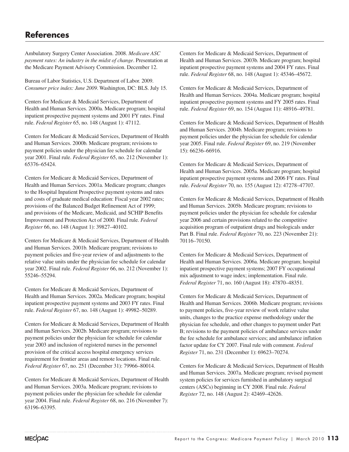# **References**

Ambulatory Surgery Center Association. 2008. *Medicare ASC payment rates: An industry in the midst of change*. Presentation at the Medicare Payment Advisory Commission. December 12.

Bureau of Labor Statistics, U.S. Department of Labor. 2009. *Consumer price index: June 2009*. Washington, DC: BLS. July 15.

Centers for Medicare & Medicaid Services, Department of Health and Human Services. 2000a. Medicare program; hospital inpatient prospective payment systems and 2001 FY rates. Final rule. *Federal Register* 65, no. 148 (August 1): 47112.

Centers for Medicare & Medicaid Services, Department of Health and Human Services. 2000b. Medicare program; revisions to payment policies under the physician fee schedule for calendar year 2001. Final rule. *Federal Register* 65, no. 212 (November 1): 65376–65424.

Centers for Medicare & Medicaid Services, Department of Health and Human Services. 2001a. Medicare program; changes to the Hospital Inpatient Prospective payment systems and rates and costs of graduate medical education: Fiscal year 2002 rates; provisions of the Balanced Budget Refinement Act of 1999; and provisions of the Medicare, Medicaid, and SCHIP Benefits Improvement and Protection Act of 2000. Final rule. *Federal Register* 66, no. 148 (August 1): 39827–40102.

Centers for Medicare & Medicaid Services, Department of Health and Human Services. 2001b. Medicare program; revisions to payment policies and five-year review of and adjustments to the relative value units under the physician fee schedule for calendar year 2002. Final rule. *Federal Register* 66, no. 212 (November 1): 55246–55294.

Centers for Medicare & Medicaid Services, Department of Health and Human Services. 2002a. Medicare program; hospital inpatient prospective payment systems and 2003 FY rates. Final rule. *Federal Register* 67, no. 148 (August 1): 49982–50289.

Centers for Medicare & Medicaid Services, Department of Health and Human Services. 2002b. Medicare program; revisions to payment policies under the physician fee schedule for calendar year 2003 and inclusion of registered nurses in the personnel provision of the critical access hospital emergency services requirement for frontier areas and remote locations. Final rule. *Federal Register* 67, no. 251 (December 31): 79966–80014.

Centers for Medicare & Medicaid Services, Department of Health and Human Services. 2003a. Medicare program; revisions to payment policies under the physician fee schedule for calendar year 2004. Final rule. *Federal Register* 68, no. 216 (November 7): 63196–63395.

Centers for Medicare & Medicaid Services, Department of Health and Human Services. 2003b. Medicare program; hospital inpatient prospective payment systems and 2004 FY rates. Final rule. *Federal Register* 68, no. 148 (August 1): 45346–45672.

Centers for Medicare & Medicaid Services, Department of Health and Human Services. 2004a. Medicare program; hospital inpatient prospective payment systems and FY 2005 rates. Final rule. *Federal Register* 69, no. 154 (August 11): 48916–49781.

Centers for Medicare & Medicaid Services, Department of Health and Human Services. 2004b. Medicare program; revisions to payment policies under the physician fee schedule for calendar year 2005. Final rule. *Federal Register* 69, no. 219 (November 15): 66236–66916.

Centers for Medicare & Medicaid Services, Department of Health and Human Services. 2005a. Medicare program; hospital inpatient prospective payment systems and 2006 FY rates. Final rule. *Federal Register* 70, no. 155 (August 12): 47278–47707.

Centers for Medicare & Medicaid Services, Department of Health and Human Services. 2005b. Medicare program; revisions to payment policies under the physician fee schedule for calendar year 2006 and certain provisions related to the competitive acquisition program of outpatient drugs and biologicals under Part B. Final rule. *Federal Register* 70, no. 223 (November 21): 70116–70150.

Centers for Medicare & Medicaid Services, Department of Health and Human Services. 2006a. Medicare program; hospital inpatient prospective payment systems; 2007 FY occupational mix adjustment to wage index; implementation. Final rule. *Federal Register* 71, no. 160 (August 18): 47870–48351.

Centers for Medicare & Medicaid Services, Department of Health and Human Services. 2006b. Medicare program; revisions to payment policies, five-year review of work relative value units, changes to the practice expense methodology under the physician fee schedule, and other changes to payment under Part B; revisions to the payment policies of ambulance services under the fee schedule for ambulance services; and ambulance inflation factor update for CY 2007. Final rule with comment. *Federal Register* 71, no. 231 (December 1): 69623–70274.

Centers for Medicare & Medicaid Services, Department of Health and Human Services. 2007a. Medicare program; revised payment system policies for services furnished in ambulatory surgical centers (ASCs) beginning in CY 2008. Final rule. *Federal Register* 72, no. 148 (August 2): 42469–42626.